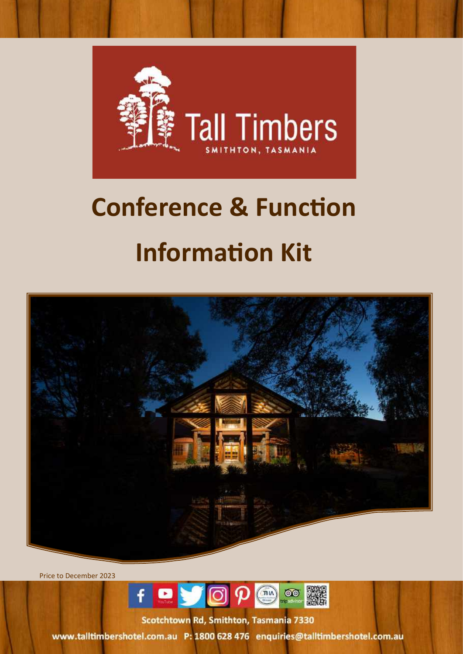

# **Conference & Function Information Kit**



Price to December 2023



Scotchtown Rd, Smithton, Tasmania 7330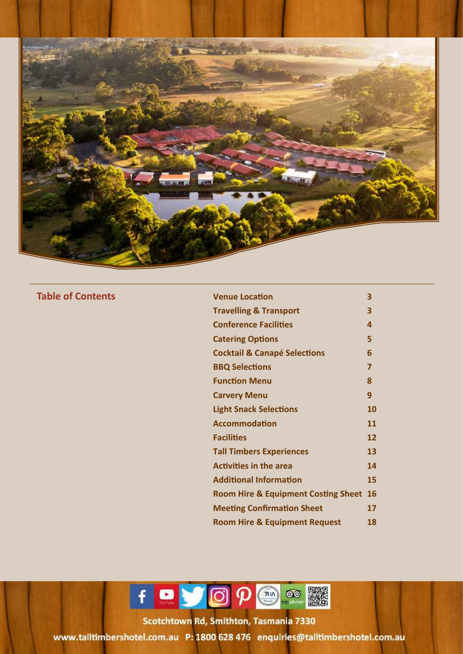

**Table of Contents** 

| <b>Venue Location</b>                          | 3  |
|------------------------------------------------|----|
| <b>Travelling &amp; Transport</b>              | 3  |
| <b>Conference Facilities</b>                   | 4  |
| <b>Catering Options</b>                        | 5  |
| <b>Cocktail &amp; Canapé Selections</b>        | 6  |
| <b>BBQ Selections</b>                          | 7  |
| <b>Function Menu</b>                           | 8  |
| <b>Carvery Menu</b>                            | 9  |
| <b>Light Snack Selections</b>                  | 10 |
| <b>Accommodation</b>                           | 11 |
| <b>Facilities</b>                              | 12 |
| <b>Tall Timbers Experiences</b>                | 13 |
| <b>Activities in the area</b>                  | 14 |
| <b>Additional Information</b>                  | 15 |
| <b>Room Hire &amp; Equipment Costing Sheet</b> | 16 |
| <b>Meeting Confirmation Sheet</b>              | 17 |
| <b>Room Hire &amp; Equipment Request</b>       | 18 |

f & JOP @ ®

icotchtown Rd, Smithton, Tasmania, 733 Toll Free States and Telephone: 18000 63 (03) 645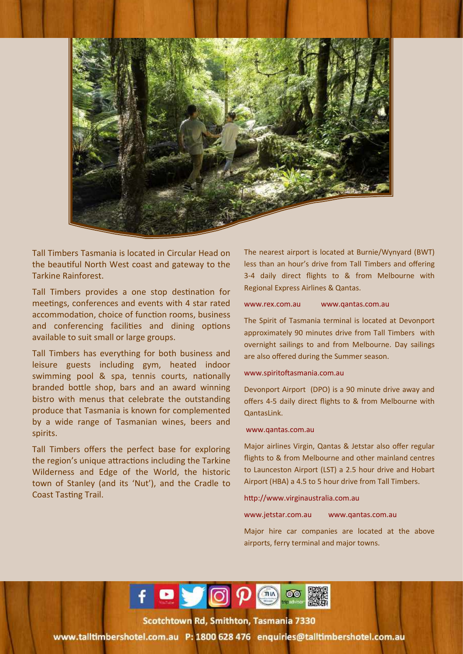

Tall Timbers Tasmania is located in Circular Head on the beautiful North West coast and gateway to the Tarkine Rainforest.

Tall Timbers provides a one stop destination for meetings, conferences and events with 4 star rated accommodation, choice of function rooms, business and conferencing facilities and dining options available to suit small or large groups.

Tall Timbers has everything for both business and leisure guests including gym, heated indoor swimming pool & spa, tennis courts, nationally branded bottle shop, bars and an award winning bistro with menus that celebrate the outstanding produce that Tasmania is known for complemented by a wide range of Tasmanian wines, beers and spirits.

Tall Timbers offers the perfect base for exploring the region's unique attractions including the Tarkine Wilderness and Edge of the World, the historic town of Stanley (and its 'Nut'), and the Cradle to Coast Tasting Trail.

The nearest airport is located at Burnie/Wynyard (BWT) less than an hour's drive from Tall Timbers and offering 3-4 daily direct flights to & from Melbourne with Regional Express Airlines & Qantas.

### www.rex.com.au www.qantas.com.au

The Spirit of Tasmania terminal is located at Devonport approximately 90 minutes drive from Tall Timbers with overnight sailings to and from Melbourne. Day sailings are also offered during the Summer season.

### www.spiritoftasmania.com.au

Devonport Airport (DPO) is a 90 minute drive away and offers 4-5 daily direct flights to & from Melbourne with QantasLink.

### www.qantas.com.au

Major airlines Virgin, Qantas & Jetstar also offer regular flights to & from Melbourne and other mainland centres to Launceston Airport (LST) a 2.5 hour drive and Hobart Airport (HBA) a 4.5 to 5 hour drive from Tall Timbers.

### http://www.virginaustralia.com.au

www.jetstar.com.au www.qantas.com.au

Major hire car companies are located at the above airports, ferry terminal and major towns.



icotchtown Rd, Smithton, Tasmania, 733 Toll Free States and Telephone: 18000 63 (03) 645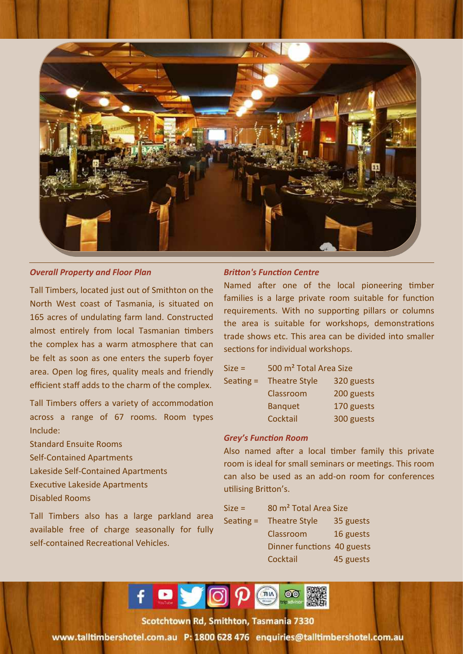

### *Overall Property and Floor Plan*

Tall Timbers, located just out of Smithton on the North West coast of Tasmania, is situated on 165 acres of undulating farm land. Constructed almost entirely from local Tasmanian timbers the complex has a warm atmosphere that can be felt as soon as one enters the superb foyer area. Open log fires, quality meals and friendly efficient staff adds to the charm of the complex.

Tall Timbers offers a variety of accommodation across a range of 67 rooms. Room types Include:

Standard Ensuite Rooms

- Self-Contained Apartments
- Lakeside Self-Contained Apartments
- Executive Lakeside Apartments
- Disabled Rooms

Tall Timbers also has a large parkland area available free of charge seasonally for fully self-contained Recreational Vehicles.

### *Britton's Function Centre*

Named after one of the local pioneering timber families is a large private room suitable for function requirements. With no supporting pillars or columns the area is suitable for workshops, demonstrations trade shows etc. This area can be divided into smaller sections for individual workshops.

| $Size =$    | 500 m <sup>2</sup> Total Area Size |            |  |
|-------------|------------------------------------|------------|--|
| Seating $=$ | <b>Theatre Style</b>               | 320 guests |  |
|             | Classroom                          | 200 guests |  |
|             | <b>Banquet</b>                     | 170 guests |  |
|             | Cocktail                           | 300 guests |  |

### *Grey's Function Room*

Also named after a local timber family this private room is ideal for small seminars or meetings. This room can also be used as an add-on room for conferences utilising Britton's.

| $Size =$    | 80 m <sup>2</sup> Total Area Size |           |
|-------------|-----------------------------------|-----------|
| Seating $=$ | <b>Theatre Style</b>              | 35 guests |
|             | Classroom                         | 16 guests |
|             | Dinner functions 40 guests        |           |
|             | Cocktail                          | 45 guests |

f **Dy** O  $p$  or

cotchtown Rd, Smithton, Tasmania, 733 Tolehown Ind<sub>i</sub> Jimenon, Tesmania 733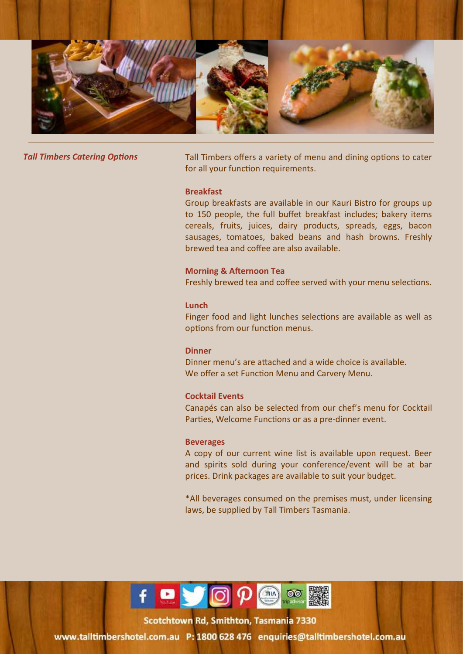

**Tall Timbers Catering Options** Tall Timbers offers a variety of menu and dining options to cater for all your function requirements.

### **Breakfast**

Group breakfasts are available in our Kauri Bistro for groups up to 150 people, the full buffet breakfast includes; bakery items cereals, fruits, juices, dairy products, spreads, eggs, bacon sausages, tomatoes, baked beans and hash browns. Freshly brewed tea and coffee are also available.

### **Morning & Afternoon Tea**

Freshly brewed tea and coffee served with your menu selections.

### **Lunch**

Finger food and light lunches selections are available as well as options from our function menus.

### **Dinner**

Dinner menu's are attached and a wide choice is available. We offer a set Function Menu and Carvery Menu.

### **Cocktail Events**

Canapés can also be selected from our chef's menu for Cocktail Parties, Welcome Functions or as a pre-dinner event.

### **Beverages**

A copy of our current wine list is available upon request. Beer and spirits sold during your conference/event will be at bar prices. Drink packages are available to suit your budget.

\*All beverages consumed on the premises must, under licensing laws, be supplied by Tall Timbers Tasmania.



Scotchtown Rd, Smithton, Tasmania, 733 Toll Free: 1800 628 476 1900 638 476 7000 634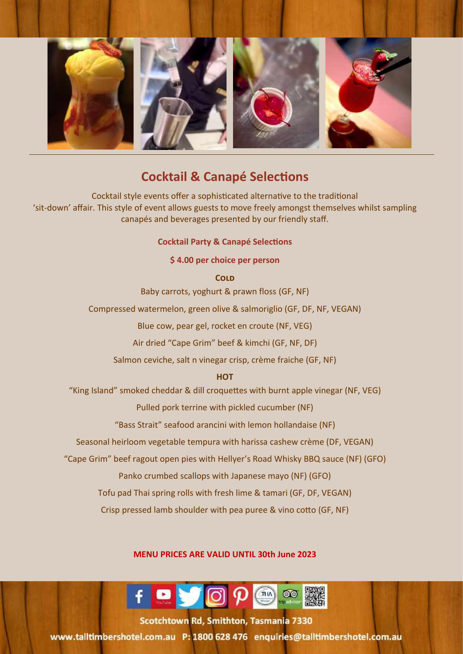

### **Cocktail & Canapé Selections**

Cocktail style events offer a sophisticated alternative to the traditional 'sit-down' affair. This style of event allows guests to move freely amongst themselves whilst sampling canapés and beverages presented by our friendly staff.

### **Cocktail Party & Canapé Selections**

### **\$ 4.00 per choice per person**

**Cold** 

Baby carrots, yoghurt & prawn floss (GF, NF)

Compressed watermelon, green olive & salmoriglio (GF, DF, NF, VEGAN)

Blue cow, pear gel, rocket en croute (NF, VEG)

Air dried "Cape Grim" beef & kimchi (GF, NF, DF)

Salmon ceviche, salt n vinegar crisp, crème fraiche (GF, NF)

### **HOT**

"King Island" smoked cheddar & dill croquettes with burnt apple vinegar (NF, VEG)

Pulled pork terrine with pickled cucumber (NF)

"Bass Strait" seafood arancini with lemon hollandaise (NF)

Seasonal heirloom vegetable tempura with harissa cashew crème (DF, VEGAN)

"Cape Grim" beef ragout open pies with Hellyer's Road Whisky BBQ sauce (NF) (GFO)

Panko crumbed scallops with Japanese mayo (NF) (GFO)

Tofu pad Thai spring rolls with fresh lime & tamari (GF, DF, VEGAN)

Crisp pressed lamb shoulder with pea puree & vino cotto (GF, NF)

### **MENU PRICES ARE VALID UNTIL 30th June 2023**



tatrhtown Rd, Smithton, Tasmania, 7330 Toll Free States and Telephone: + 63 (03) 645 6452 9000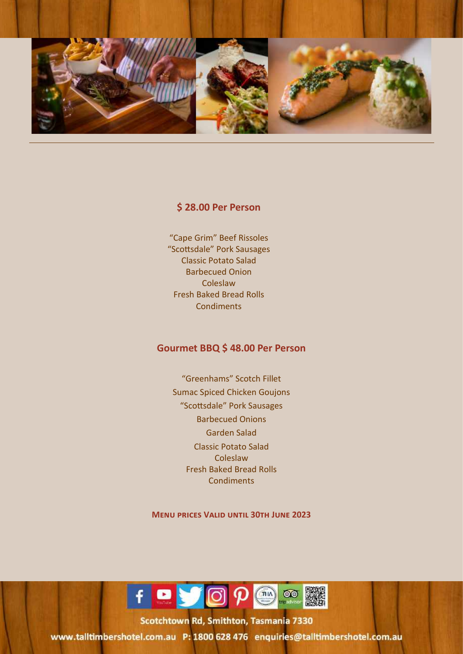

### **\$ 28.00 Per Person**

"Cape Grim" Beef Rissoles "Scottsdale" Pork Sausages Classic Potato Salad Barbecued Onion **Coleslaw** Fresh Baked Bread Rolls **Condiments** 

### **Gourmet BBQ \$ 48.00 Per Person**

"Greenhams" Scotch Fillet Sumac Spiced Chicken Goujons "Scottsdale" Pork Sausages Barbecued Onions Garden Salad Classic Potato Salad Coleslaw Fresh Baked Bread Rolls **Condiments** 

**Menu prices Valid until 30th June 2023**



rotchtown Rd, Smithton, Tasmania, 7331 Toll Free States and Telephone is a 44 (03) 645 (03) 645 (03) 645 (03) 645 (03) 645 90000 645 (03) 645 9000 64

1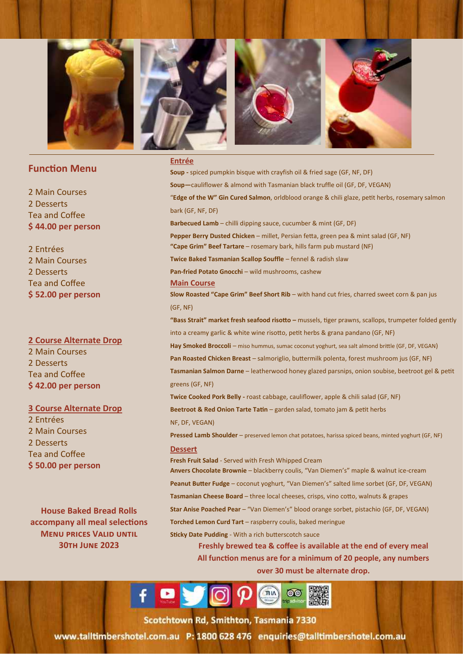

### **Function Menu**

2 Main Courses 2 Desserts Tea and Coffee **\$ 44.00 per person** 

### 2 Entrées 2 Main Courses 2 Desserts Tea and Coffee **\$ 52.00 per person**

**2 Course Alternate Drop** 

2 Main Courses 2 Desserts Tea and Coffee **\$ 42.00 per person**

### **3 Course Alternate Drop**

2 Entrées 2 Main Courses 2 Desserts Tea and Coffee **\$ 50.00 per person** 

**House Baked Bread Rolls accompany all meal selections Menu prices Valid until 30th June 2023**

### **Entrée**

**Soup -** spiced pumpkin bisque with crayfish oil & fried sage (GF, NF, DF) **Soup—**cauliflower & almond with Tasmanian black truffle oil (GF, DF, VEGAN) "**Edge of the W" Gin Cured Salmon**, orldblood orange & chili glaze, petit herbs, rosemary salmon bark (GF, NF, DF) **Barbecued Lamb** – chilli dipping sauce, cucumber & mint (GF, DF) **Pepper Berry Dusted Chicken** – millet, Persian fetta, green pea & mint salad (GF, NF) **"Cape Grim" Beef Tartare** – rosemary bark, hills farm pub mustard (NF) **Twice Baked Tasmanian Scallop Souffle** – fennel & radish slaw **Pan-fried Potato Gnocchi** – wild mushrooms, cashew **Main Course Slow Roasted "Cape Grim" Beef Short Rib** – with hand cut fries, charred sweet corn & pan jus (GF, NF) **"Bass Strait" market fresh seafood risotto –** mussels, tiger prawns, scallops, trumpeter folded gently into a creamy garlic & white wine risotto, petit herbs & grana pandano (GF, NF) Hay Smoked Broccoli - miso hummus, sumac coconut yoghurt, sea salt almond brittle (GF, DF, VEGAN) Pan Roasted Chicken Breast - salmoriglio, buttermilk polenta, forest mushroom jus (GF, NF) **Tasmanian Salmon Darne** – leatherwood honey glazed parsnips, onion soubise, beetroot gel & petit greens (GF, NF) **Twice Cooked Pork Belly -** roast cabbage, cauliflower, apple & chili salad (GF, NF) **Beetroot & Red Onion Tarte Tatin** – garden salad, tomato jam & petit herbs NF, DF, VEGAN) **Pressed Lamb Shoulder** – preserved lemon chat potatoes, harissa spiced beans, minted yoghurt (GF, NF) **Dessert Fresh Fruit Salad** - Served with Fresh Whipped Cream **Anvers Chocolate Brownie** – blackberry coulis, "Van Diemen's" maple & walnut ice-cream **Peanut Butter Fudge** – coconut yoghurt, "Van Diemen's" salted lime sorbet (GF, DF, VEGAN) **Tasmanian Cheese Board** – three local cheeses, crisps, vino cotto, walnuts & grapes **Star Anise Poached Pear** – "Van Diemen's" blood orange sorbet, pistachio (GF, DF, VEGAN) **Torched Lemon Curd Tart** – raspberry coulis, baked meringue **Sticky Date Pudding** - With a rich butterscotch sauce **Freshly brewed tea & coffee is available at the end of every meal All function menus are for a minimum of 20 people, any numbers** 

**over 30 must be alternate drop.**

 $f \bullet g$ 

Scotchtown Rd. Smithton, Tasmania 733 Toll Free: 1800 628 476 Telephone: + 63 (03) 6452 9000 628 (03) 6452 90000 70000 70000 70000 70000 70000 70000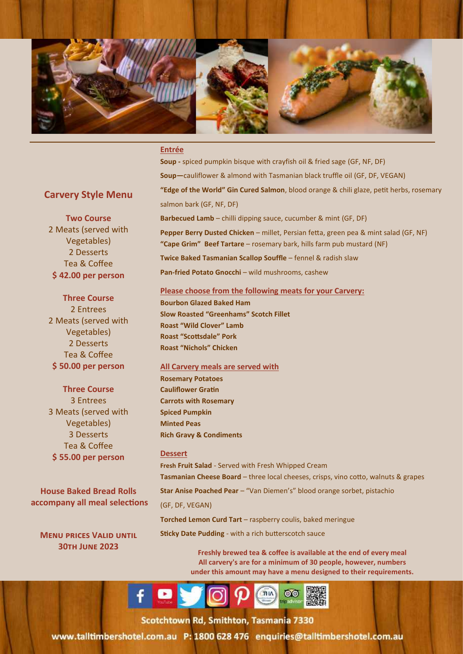

### **Entrée**

**Soup -** spiced pumpkin bisque with crayfish oil & fried sage (GF, NF, DF) **Soup—**cauliflower & almond with Tasmanian black truffle oil (GF, DF, VEGAN) **"Edge of the World" Gin Cured Salmon**, blood orange & chili glaze, petit herbs, rosemary salmon bark (GF, NF, DF) **Barbecued Lamb** – chilli dipping sauce, cucumber & mint (GF, DF) **Pepper Berry Dusted Chicken** – millet, Persian fetta, green pea & mint salad (GF, NF) **"Cape Grim" Beef Tartare** – rosemary bark, hills farm pub mustard (NF) **Twice Baked Tasmanian Scallop Souffle** - fennel & radish slaw **Pan-fried Potato Gnocchi** – wild mushrooms, cashew

### **Carvery Style Menu**

**Two Course** 2 Meats (served with Vegetables) 2 Desserts Tea & Coffee **\$ 42.00 per person**

### **Three Course**

2 Entrees 2 Meats (served with Vegetables) 2 Desserts Tea & Coffee **\$ 50.00 per person**

### **Three Course**

3 Entrees 3 Meats (served with Vegetables) 3 Desserts Tea & Coffee **\$ 55.00 per person**

**House Baked Bread Rolls accompany all meal selections**

**Menu prices Valid until 30th June 2023**

### **Please choose from the following meats for your Carvery:**

**Bourbon Glazed Baked Ham Slow Roasted "Greenhams" Scotch Fillet Roast "Wild Clover" Lamb Roast "Scottsdale" Pork Roast "Nichols" Chicken** 

### **All Carvery meals are served with**

**Rosemary Potatoes Cauliflower Gratin Carrots with Rosemary Spiced Pumpkin Minted Peas Rich Gravy & Condiments**

### **Dessert**

**Fresh Fruit Salad** - Served with Fresh Whipped Cream Tasmanian Cheese Board - three local cheeses, crisps, vino cotto, walnuts & grapes

**Star Anise Poached Pear** – "Van Diemen's" blood orange sorbet, pistachio

(GF, DF, VEGAN)

**Torched Lemon Curd Tart** – raspberry coulis, baked meringue

**Sticky Date Pudding** - with a rich butterscotch sauce

**Freshly brewed tea & coffee is available at the end of every meal All carvery's are for a minimum of 30 people, however, numbers under this amount may have a menu designed to their requirements.**

9



cotchtown Rd, Smithton, Tasmania, 733 Toll Free: 1800 628 476 Telephone: + 63 (03) 6452 9000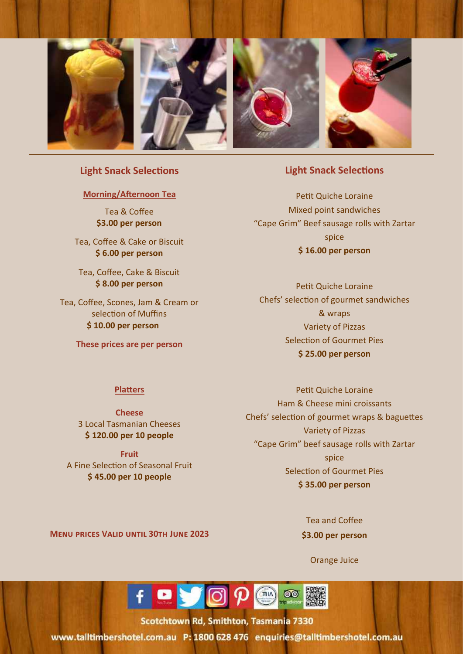

### **Light Snack Selections**

### **Morning/Afternoon Tea**

Tea & Coffee **\$3.00 per person**

Tea, Coffee & Cake or Biscuit **\$ 6.00 per person**

Tea, Coffee, Cake & Biscuit **\$ 8.00 per person**

Tea, Coffee, Scones, Jam & Cream or selection of Muffins **\$ 10.00 per person**

**These prices are per person**

### **Light Snack Selections**

Petit Quiche Loraine Mixed point sandwiches "Cape Grim" Beef sausage rolls with Zartar spice **\$ 16.00 per person**

Petit Quiche Loraine Chefs' selection of gourmet sandwiches & wraps Variety of Pizzas Selection of Gourmet Pies **\$ 25.00 per person**

### **Platters**

**Cheese**  3 Local Tasmanian Cheeses **\$ 120.00 per 10 people** 

**Fruit** A Fine Selection of Seasonal Fruit **\$ 45.00 per 10 people** 

Petit Quiche Loraine Ham & Cheese mini croissants Chefs' selection of gourmet wraps & baguettes Variety of Pizzas "Cape Grim" beef sausage rolls with Zartar spice Selection of Gourmet Pies **\$ 35.00 per person**

**Menu prices Valid until 30th June 2023**

Tea and Coffee **\$3.00 per person**

Orange Juice

10



cotchtown Rd, Smithton, Tasmania, 7330 Toll Free in The Statement Constitution - 63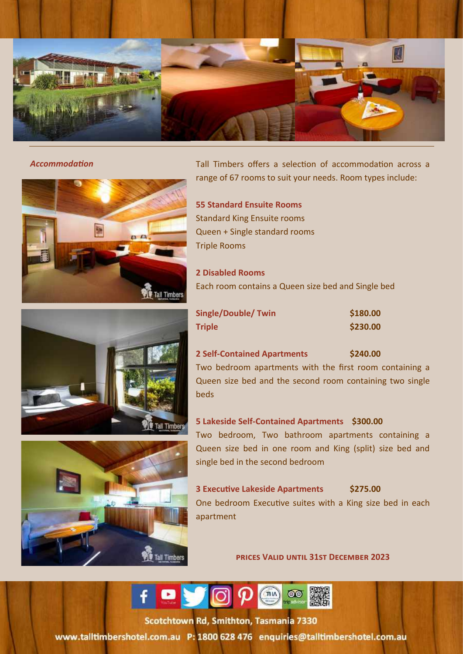



**Accommodation** Tall Timbers offers a selection of accommodation across a range of 67 rooms to suit your needs. Room types include:

> **55 Standard Ensuite Rooms** Standard King Ensuite rooms Queen + Single standard rooms Triple Rooms

**2 Disabled Rooms** Each room contains a Queen size bed and Single bed

| <b>Single/Double/Twin</b> | \$180.00 |
|---------------------------|----------|
| <b>Triple</b>             | \$230.00 |



Two bedroom apartments with the first room containing a Queen size bed and the second room containing two single beds

### **5 Lakeside Self-Contained Apartments \$300.00**

Two bedroom, Two bathroom apartments containing a Queen size bed in one room and King (split) size bed and single bed in the second bedroom

## **3 Executive Lakeside Apartments \$275.00**

One bedroom Executive suites with a King size bed in each apartment

**prices Valid until 31st December 2023**



Scotchtown Rd. Smithton, Tasmania, 733 Toll Free States and Telephone: + 63 (03) 645 (03) 645 (03) 645



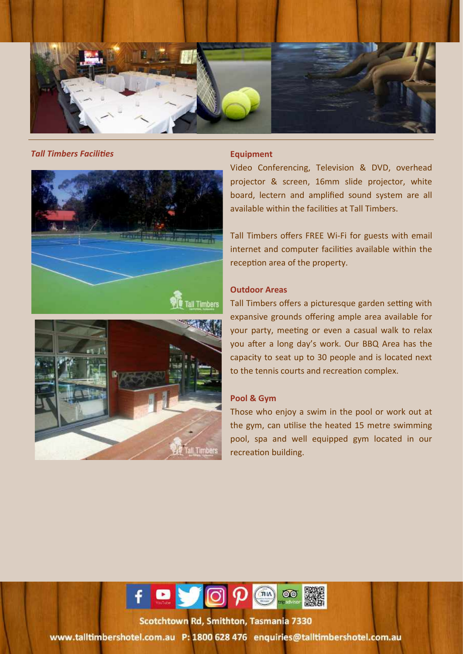

### **Tall Timbers Facilities Equipment**





Video Conferencing, Television & DVD, overhead projector & screen, 16mm slide projector, white board, lectern and amplified sound system are all available within the facilities at Tall Timbers.

Tall Timbers offers FREE Wi-Fi for guests with email internet and computer facilities available within the reception area of the property.

### **Outdoor Areas**

Tall Timbers offers a picturesque garden setting with expansive grounds offering ample area available for your party, meeting or even a casual walk to relax you after a long day's work. Our BBQ Area has the capacity to seat up to 30 people and is located next to the tennis courts and recreation complex.

### **Pool & Gym**

Those who enjoy a swim in the pool or work out at the gym, can utilise the heated 15 metre swimming pool, spa and well equipped gym located in our recreation building.

12



5-15 Scotchtown Road Smithton 7330, Tasmania, Australia Toll Free States and Telephone: + 63 (03) 645 Februaries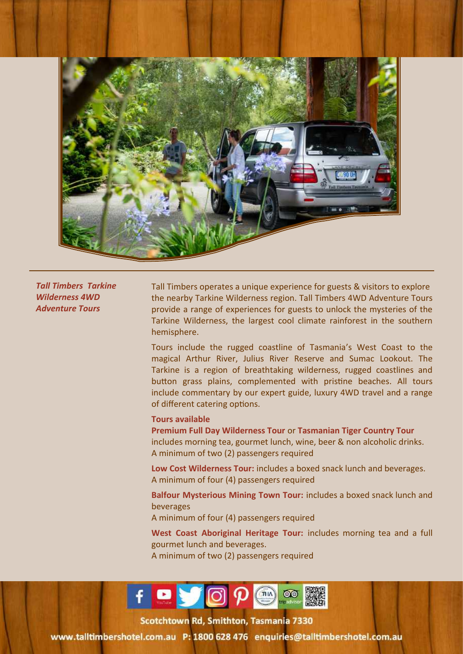

*Tall Timbers Tarkine Wilderness 4WD Adventure Tours*

Tall Timbers operates a unique experience for guests & visitors to explore the nearby Tarkine Wilderness region. Tall Timbers 4WD Adventure Tours provide a range of experiences for guests to unlock the mysteries of the Tarkine Wilderness, the largest cool climate rainforest in the southern hemisphere.

Tours include the rugged coastline of Tasmania's West Coast to the magical Arthur River, Julius River Reserve and Sumac Lookout. The Tarkine is a region of breathtaking wilderness, rugged coastlines and button grass plains, complemented with pristine beaches. All tours include commentary by our expert guide, luxury 4WD travel and a range of different catering options.

### **Tours available**

**Premium Full Day Wilderness Tour** or **Tasmanian Tiger Country Tour**  includes morning tea, gourmet lunch, wine, beer & non alcoholic drinks. A minimum of two (2) passengers required

**Low Cost Wilderness Tour:** includes a boxed snack lunch and beverages. A minimum of four (4) passengers required

**Balfour Mysterious Mining Town Tour:** includes a boxed snack lunch and beverages

A minimum of four (4) passengers required

**West Coast Aboriginal Heritage Tour:** includes morning tea and a full gourmet lunch and beverages. A minimum of two (2) passengers required

13



rotchtown Rd, Smithton, Tasmania, 7330 Toll Free: 1800 628 476 Telephone: + 63 (03) 6452 9000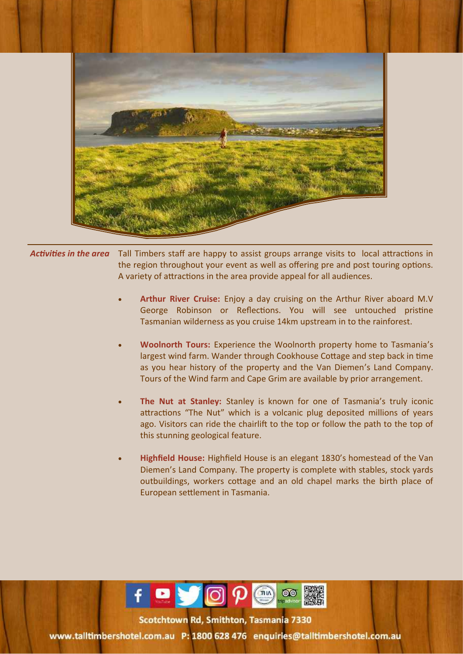

*Activities in the area* Tall Timbers staff are happy to assist groups arrange visits to local attractions in the region throughout your event as well as offering pre and post touring options. A variety of attractions in the area provide appeal for all audiences.

- **Arthur River Cruise:** Enjoy a day cruising on the Arthur River aboard M.V George Robinson or Reflections. You will see untouched pristine Tasmanian wilderness as you cruise 14km upstream in to the rainforest.
- **Woolnorth Tours:** Experience the Woolnorth property home to Tasmania's largest wind farm. Wander through Cookhouse Cottage and step back in time as you hear history of the property and the Van Diemen's Land Company. Tours of the Wind farm and Cape Grim are available by prior arrangement.
- **The Nut at Stanley:** Stanley is known for one of Tasmania's truly iconic attractions "The Nut" which is a volcanic plug deposited millions of years ago. Visitors can ride the chairlift to the top or follow the path to the top of this stunning geological feature.
- **Highfield House:** Highfield House is an elegant 1830's homestead of the Van Diemen's Land Company. The property is complete with stables, stock yards outbuildings, workers cottage and an old chapel marks the birth place of European settlement in Tasmania.

14



totchtown Rd. Smithton, Tasmania 7330 Toll Free: 1800 628 476 Telephone: + 63 (03) 6452 9000 628 (03) 6452 9000 63 (03) 6452 9000 63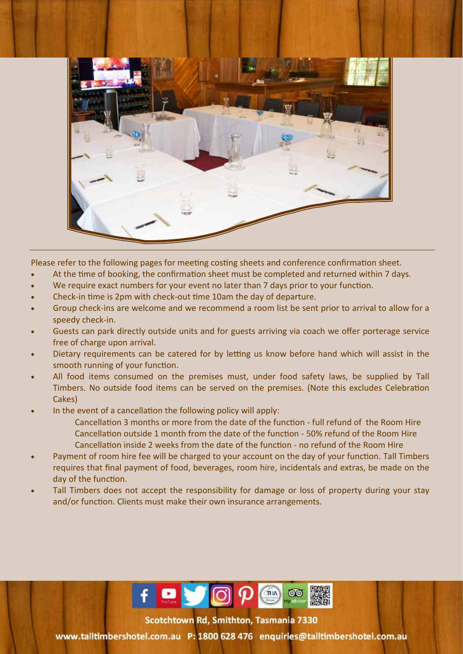

Please refer to the following pages for meeting costing sheets and conference confirmation sheet.

- At the time of booking, the confirmation sheet must be completed and returned within 7 days.
- We require exact numbers for your event no later than 7 days prior to your function.
- Check-in time is 2pm with check-out time 10am the day of departure.
- Group check-ins are welcome and we recommend a room list be sent prior to arrival to allow for a speedy check-in.
- Guests can park directly outside units and for guests arriving via coach we offer porterage service free of charge upon arrival.
- Dietary requirements can be catered for by letting us know before hand which will assist in the smooth running of your function.
- All food items consumed on the premises must, under food safety laws, be supplied by Tall Timbers. No outside food items can be served on the premises. (Note this excludes Celebration Cakes)
- In the event of a cancellation the following policy will apply:
	- Cancellation 3 months or more from the date of the function full refund of the Room Hire Cancellation outside 1 month from the date of the function - 50% refund of the Room Hire Cancellation inside 2 weeks from the date of the function - no refund of the Room Hire
- Payment of room hire fee will be charged to your account on the day of your function. Tall Timbers requires that final payment of food, beverages, room hire, incidentals and extras, be made on the day of the function.
- Tall Timbers does not accept the responsibility for damage or loss of property during your stay and/or function. Clients must make their own insurance arrangements.



Scotchtown Rd, Smithton, Tasmania 7330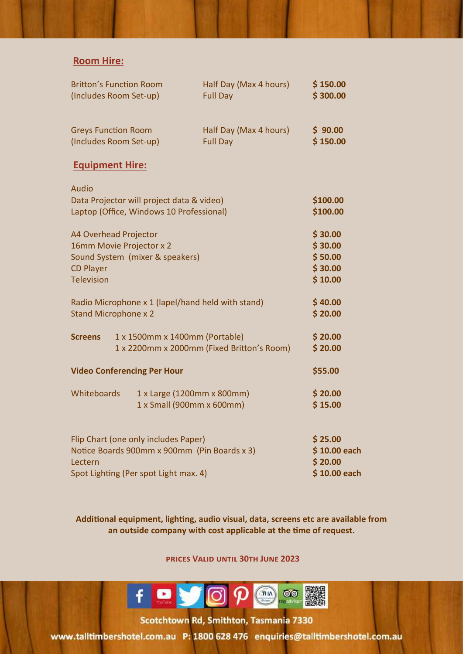### **Room Hire:**

| <b>Britton's Function Room</b><br>(Includes Room Set-up)                                                                                 | Half Day (Max 4 hours)<br><b>Full Day</b>               | \$150.00<br>\$300.00                                |
|------------------------------------------------------------------------------------------------------------------------------------------|---------------------------------------------------------|-----------------------------------------------------|
| <b>Greys Function Room</b><br>(Includes Room Set-up)                                                                                     | Half Day (Max 4 hours)<br><b>Full Day</b>               | \$90.00<br>\$150.00                                 |
| <b>Equipment Hire:</b>                                                                                                                   |                                                         |                                                     |
| <b>Audio</b><br>Data Projector will project data & video)<br>Laptop (Office, Windows 10 Professional)                                    |                                                         | \$100.00<br>\$100.00                                |
| A4 Overhead Projector<br>16mm Movie Projector x 2<br>Sound System (mixer & speakers)<br><b>CD Player</b><br><b>Television</b>            |                                                         | \$30.00<br>\$30.00<br>\$50.00<br>\$30.00<br>\$10.00 |
| Radio Microphone x 1 (lapel/hand held with stand)<br><b>Stand Microphone x 2</b>                                                         |                                                         | \$40.00<br>\$20.00                                  |
| <b>Screens</b><br>1 x 1500mm x 1400mm (Portable)                                                                                         | 1 x 2200mm x 2000mm (Fixed Britton's Room)              | \$20.00<br>\$20.00                                  |
| <b>Video Conferencing Per Hour</b>                                                                                                       |                                                         | \$55.00                                             |
| Whiteboards                                                                                                                              | 1 x Large (1200mm x 800mm)<br>1 x Small (900mm x 600mm) | \$20.00<br>\$15.00                                  |
| Flip Chart (one only includes Paper)<br>Notice Boards 900mm x 900mm (Pin Boards x 3)<br>Lectern<br>Spot Lighting (Per spot Light max. 4) |                                                         | \$25.00<br>\$10.00 each<br>\$20.00<br>\$10.00 each  |

**Additional equipment, lighting, audio visual, data, screens etc are available from an outside company with cost applicable at the time of request.**

**prices Valid until 30th June 2023**



rotchtown Rd. Smithton, Tasmania, 7330 Toll Free: 1800 628 476 Telephone: + 63 (03) 6452 9000

www.talltimbershotel.com.au P: 1800 628 476 enquiries@talltimbershotel.com.au

16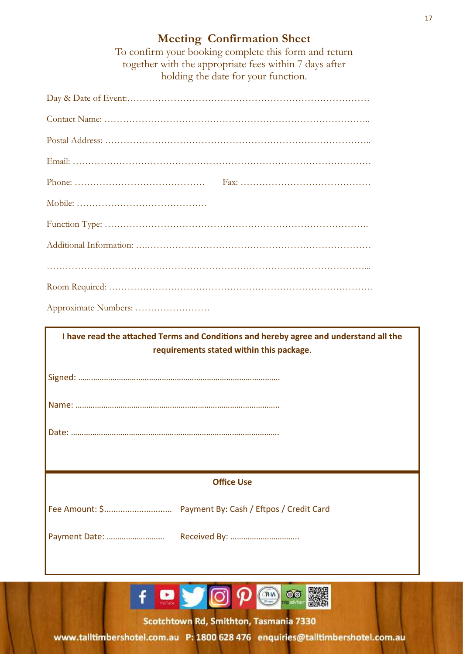### **Meeting Confirmation Sheet**

To confirm your booking complete this form and return together with the appropriate fees within 7 days after holding the date for your function.

| Approximate Numbers:                                                                  |  |  |
|---------------------------------------------------------------------------------------|--|--|
| I have read the attached Terms and Conditions and hereby agree and understand all the |  |  |
|                                                                                       |  |  |
| requirements stated within this package.                                              |  |  |
|                                                                                       |  |  |
|                                                                                       |  |  |
|                                                                                       |  |  |
|                                                                                       |  |  |
| <b>Office Use</b>                                                                     |  |  |
|                                                                                       |  |  |



Scotchtown Rd, Smithton, Tasmania 7330